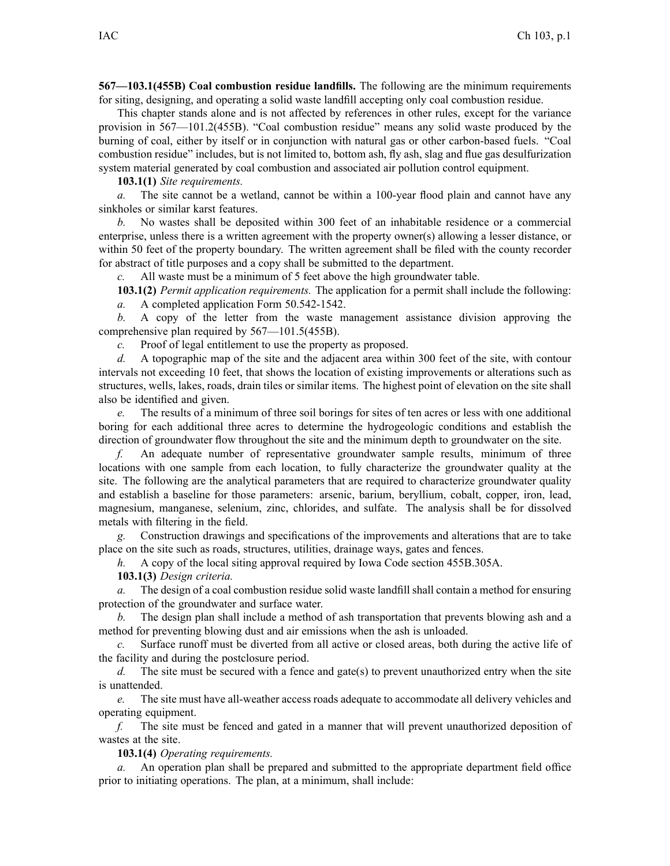**567—103.1(455B) Coal combustion residue landfills.** The following are the minimum requirements for siting, designing, and operating <sup>a</sup> solid waste landfill accepting only coal combustion residue.

This chapter stands alone and is not affected by references in other rules, excep<sup>t</sup> for the variance provision in 567—101.2(455B). "Coal combustion residue" means any solid waste produced by the burning of coal, either by itself or in conjunction with natural gas or other carbon-based fuels. "Coal combustion residue" includes, but is not limited to, bottom ash, fly ash, slag and flue gas desulfurization system material generated by coal combustion and associated air pollution control equipment.

**103.1(1)** *Site requirements.*

*a.* The site cannot be <sup>a</sup> wetland, cannot be within <sup>a</sup> 100-year flood plain and cannot have any sinkholes or similar karst features.

*b.* No wastes shall be deposited within 300 feet of an inhabitable residence or <sup>a</sup> commercial enterprise, unless there is <sup>a</sup> written agreemen<sup>t</sup> with the property owner(s) allowing <sup>a</sup> lesser distance, or within 50 feet of the property boundary. The written agreement shall be filed with the county recorder for abstract of title purposes and <sup>a</sup> copy shall be submitted to the department.

*c.* All waste must be <sup>a</sup> minimum of 5 feet above the high groundwater table.

**103.1(2)** *Permit application requirements.* The application for <sup>a</sup> permit shall include the following: *a.* A completed application Form 50.542-1542.

*b.* A copy of the letter from the waste managemen<sup>t</sup> assistance division approving the comprehensive plan required by 567—101.5(455B).

*c.* Proof of legal entitlement to use the property as proposed.

*d.* A topographic map of the site and the adjacent area within 300 feet of the site, with contour intervals not exceeding 10 feet, that shows the location of existing improvements or alterations such as structures, wells, lakes, roads, drain tiles or similar items. The highest point of elevation on the site shall also be identified and given.

*e.* The results of <sup>a</sup> minimum of three soil borings for sites of ten acres or less with one additional boring for each additional three acres to determine the hydrogeologic conditions and establish the direction of groundwater flow throughout the site and the minimum depth to groundwater on the site.

*f.* An adequate number of representative groundwater sample results, minimum of three locations with one sample from each location, to fully characterize the groundwater quality at the site. The following are the analytical parameters that are required to characterize groundwater quality and establish <sup>a</sup> baseline for those parameters: arsenic, barium, beryllium, cobalt, copper, iron, lead, magnesium, manganese, selenium, zinc, chlorides, and sulfate. The analysis shall be for dissolved metals with filtering in the field.

*g.* Construction drawings and specifications of the improvements and alterations that are to take place on the site such as roads, structures, utilities, drainage ways, gates and fences.

*h.* A copy of the local siting approval required by Iowa Code section 455B.305A.

**103.1(3)** *Design criteria.*

*a.* The design of <sup>a</sup> coal combustion residue solid waste landfill shall contain <sup>a</sup> method for ensuring protection of the groundwater and surface water.

*b.* The design plan shall include <sup>a</sup> method of ash transportation that prevents blowing ash and <sup>a</sup> method for preventing blowing dust and air emissions when the ash is unloaded.

*c.* Surface runoff must be diverted from all active or closed areas, both during the active life of the facility and during the postclosure period.

*d.* The site must be secured with a fence and gate(s) to prevent unauthorized entry when the site is unattended.

*e.* The site must have all-weather access roads adequate to accommodate all delivery vehicles and operating equipment.

*f.* The site must be fenced and gated in <sup>a</sup> manner that will preven<sup>t</sup> unauthorized deposition of wastes at the site.

**103.1(4)** *Operating requirements.*

*a.* An operation plan shall be prepared and submitted to the appropriate department field office prior to initiating operations. The plan, at <sup>a</sup> minimum, shall include: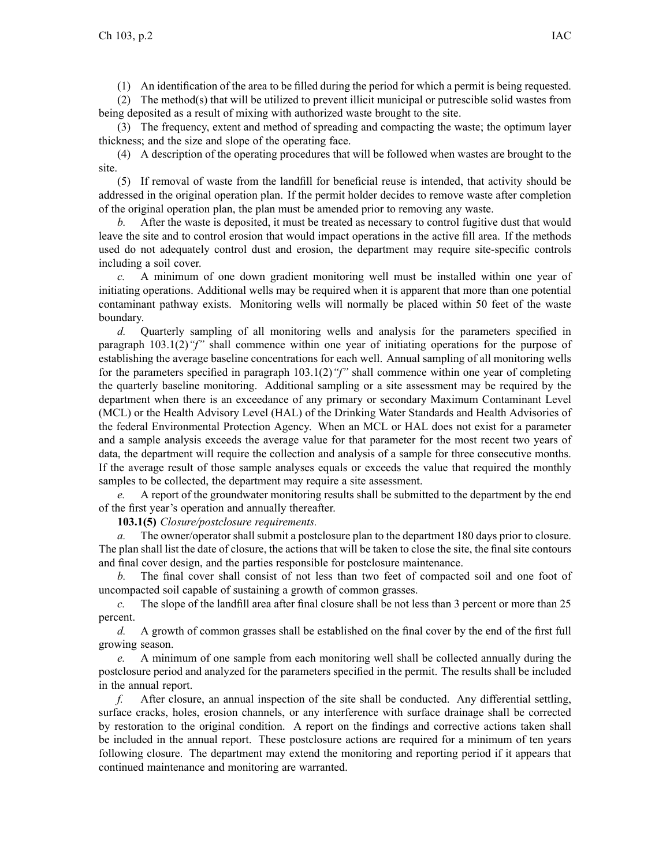(1) An identification of the area to be filled during the period for which <sup>a</sup> permit is being requested.

(2) The method(s) that will be utilized to preven<sup>t</sup> illicit municipal or putrescible solid wastes from being deposited as <sup>a</sup> result of mixing with authorized waste brought to the site.

(3) The frequency, extent and method of spreading and compacting the waste; the optimum layer thickness; and the size and slope of the operating face.

(4) A description of the operating procedures that will be followed when wastes are brought to the site.

(5) If removal of waste from the landfill for beneficial reuse is intended, that activity should be addressed in the original operation plan. If the permit holder decides to remove waste after completion of the original operation plan, the plan must be amended prior to removing any waste.

*b.* After the waste is deposited, it must be treated as necessary to control fugitive dust that would leave the site and to control erosion that would impact operations in the active fill area. If the methods used do not adequately control dust and erosion, the department may require site-specific controls including <sup>a</sup> soil cover.

*c.* A minimum of one down gradient monitoring well must be installed within one year of initiating operations. Additional wells may be required when it is apparen<sup>t</sup> that more than one potential contaminant pathway exists. Monitoring wells will normally be placed within 50 feet of the waste boundary.

*d.* Quarterly sampling of all monitoring wells and analysis for the parameters specified in paragraph 103.1(2)*"f"* shall commence within one year of initiating operations for the purpose of establishing the average baseline concentrations for each well. Annual sampling of all monitoring wells for the parameters specified in paragraph 103.1(2)*"f"* shall commence within one year of completing the quarterly baseline monitoring. Additional sampling or <sup>a</sup> site assessment may be required by the department when there is an exceedance of any primary or secondary Maximum Contaminant Level (MCL) or the Health Advisory Level (HAL) of the Drinking Water Standards and Health Advisories of the federal Environmental Protection Agency. When an MCL or HAL does not exist for <sup>a</sup> parameter and <sup>a</sup> sample analysis exceeds the average value for that parameter for the most recent two years of data, the department will require the collection and analysis of <sup>a</sup> sample for three consecutive months. If the average result of those sample analyses equals or exceeds the value that required the monthly samples to be collected, the department may require <sup>a</sup> site assessment.

*e.* A repor<sup>t</sup> of the groundwater monitoring results shall be submitted to the department by the end of the first year's operation and annually thereafter.

**103.1(5)** *Closure/postclosure requirements.*

*a.* The owner/operator shall submit <sup>a</sup> postclosure plan to the department 180 days prior to closure. The plan shall list the date of closure, the actions that will be taken to close the site, the final site contours and final cover design, and the parties responsible for postclosure maintenance.

*b.* The final cover shall consist of not less than two feet of compacted soil and one foot of uncompacted soil capable of sustaining <sup>a</sup> growth of common grasses.

*c.* The slope of the landfill area after final closure shall be not less than 3 percen<sup>t</sup> or more than 25 percent.

*d.* A growth of common grasses shall be established on the final cover by the end of the first full growing season.

*e.* A minimum of one sample from each monitoring well shall be collected annually during the postclosure period and analyzed for the parameters specified in the permit. The results shall be included in the annual report.

*f.* After closure, an annual inspection of the site shall be conducted. Any differential settling, surface cracks, holes, erosion channels, or any interference with surface drainage shall be corrected by restoration to the original condition. A repor<sup>t</sup> on the findings and corrective actions taken shall be included in the annual report. These postclosure actions are required for <sup>a</sup> minimum of ten years following closure. The department may extend the monitoring and reporting period if it appears that continued maintenance and monitoring are warranted.